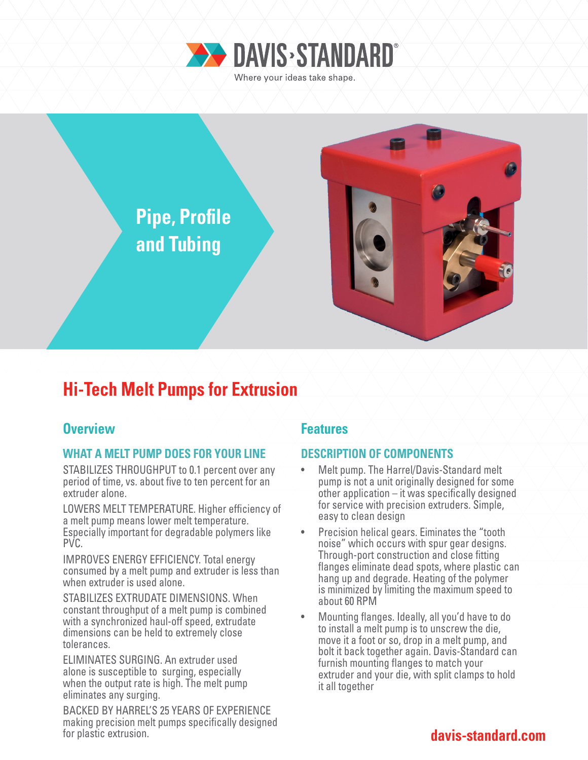



# **Hi-Tech Melt Pumps for Extrusion**

# **Overview Allen Accept Accept Accept Accept Features**

# **WHAT A MELT PUMP DOES FOR YOUR LINE**

STABILIZES THROUGHPUT to 0.1 percent over any period of time, vs. about five to ten percent for an extruder alone.

LOWERS MELT TEMPERATURE. Higher efficiency of a melt pump means lower melt temperature. Especially important for degradable polymers like PVC.

IMPROVES ENERGY EFFICIENCY. Total energy consumed by a melt pump and extruder is less than when extruder is used alone.

STABILIZES EXTRUDATE DIMENSIONS. When constant throughput of a melt pump is combined with a synchronized haul-off speed, extrudate dimensions can be held to extremely close tolerances.

ELIMINATES SURGING. An extruder used alone is susceptible to surging, especially when the output rate is high. The melt pump eliminates any surging.

BACKED BY HARREL'S 25 YEARS OF EXPERIENCE making precision melt pumps specifically designed for plastic extrusion.

# **DESCRIPTION OF COMPONENTS**

- Melt pump. The Harrel/Davis-Standard melt pump is not a unit originally designed for some other application – it was specifically designed for service with precision extruders. Simple, easy to clean design
- Precision helical gears. Eiminates the "tooth noise" which occurs with spur gear designs. Through-port construction and close fitting flanges eliminate dead spots, where plastic can hang up and degrade. Heating of the polymer is minimized by limiting the maximum speed to about 60 RPM
- Mounting flanges. Ideally, all you'd have to do to install a melt pump is to unscrew the die, move it a foot or so, drop in a melt pump, and bolt it back together again. Davis-Standard can furnish mounting flanges to match your extruder and your die, with split clamps to hold it all together

# **davis-standard.com**